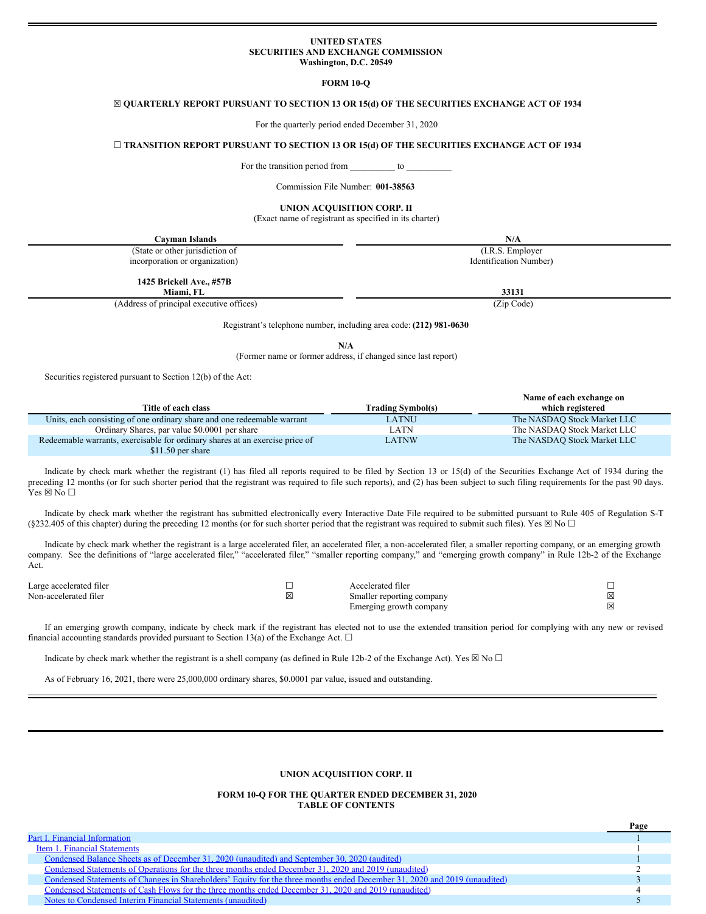### **UNITED STATES SECURITIES AND EXCHANGE COMMISSION Washington, D.C. 20549**

**FORM 10-Q**

### ☒ **QUARTERLY REPORT PURSUANT TO SECTION 13 OR 15(d) OF THE SECURITIES EXCHANGE ACT OF 1934**

For the quarterly period ended December 31, 2020

### ☐ **TRANSITION REPORT PURSUANT TO SECTION 13 OR 15(d) OF THE SECURITIES EXCHANGE ACT OF 1934**

For the transition period from \_\_\_\_\_\_\_\_\_\_\_ to

Commission File Number: **001-38563**

# **UNION ACQUISITION CORP. II**

(Exact name of registrant as specified in its charter)

| Cayman Islands                           | N/A                    |
|------------------------------------------|------------------------|
| (State or other jurisdiction of          | (I.R.S. Employer)      |
| incorporation or organization)           | Identification Number) |
| 1425 Brickell Ave., #57B<br>Miami. FL    | 33131                  |
| (Address of principal executive offices) | (Zip Code)             |
|                                          |                        |

Registrant's telephone number, including area code: **(212) 981-0630**

**N/A**

(Former name or former address, if changed since last report)

Securities registered pursuant to Section 12(b) of the Act:

|                                                                              |                          | Name of each exchange on    |
|------------------------------------------------------------------------------|--------------------------|-----------------------------|
| Title of each class                                                          | <b>Trading Symbol(s)</b> | which registered            |
| Units, each consisting of one ordinary share and one redeemable warrant      | LATNU                    | The NASDAQ Stock Market LLC |
| Ordinary Shares, par value \$0.0001 per share                                | LATN                     | The NASDAO Stock Market LLC |
| Redeemable warrants, exercisable for ordinary shares at an exercise price of | LATNW                    | The NASDAQ Stock Market LLC |
| $$11.50$ per share                                                           |                          |                             |

Indicate by check mark whether the registrant (1) has filed all reports required to be filed by Section 13 or 15(d) of the Securities Exchange Act of 1934 during the preceding 12 months (or for such shorter period that the registrant was required to file such reports), and (2) has been subject to such filing requirements for the past 90 days.  $Yes \boxtimes No \square$ 

Indicate by check mark whether the registrant has submitted electronically every Interactive Date File required to be submitted pursuant to Rule 405 of Regulation S-T (§232.405 of this chapter) during the preceding 12 months (or for such shorter period that the registrant was required to submit such files). Yes  $\boxtimes$  No  $\Box$ 

Indicate by check mark whether the registrant is a large accelerated filer, an accelerated filer, a non-accelerated filer, a smaller reporting company, or an emerging growth company. See the definitions of "large accelerated filer," "accelerated filer," "smaller reporting company," and "emerging growth company" in Rule 12b-2 of the Exchange Act.

| Large accelerated filer | Accelerated filer         |  |
|-------------------------|---------------------------|--|
| Non-accelerated filer   | Smaller reporting company |  |
|                         | Emerging growth company   |  |

If an emerging growth company, indicate by check mark if the registrant has elected not to use the extended transition period for complying with any new or revised financial accounting standards provided pursuant to Section 13(a) of the Exchange Act.  $\Box$ 

Indicate by check mark whether the registrant is a shell company (as defined in Rule 12b-2 of the Exchange Act). Yes  $\boxtimes$  No  $\Box$ 

As of February 16, 2021, there were 25,000,000 ordinary shares, \$0.0001 par value, issued and outstanding.

## **UNION ACQUISITION CORP. II**

### **FORM 10-Q FOR THE QUARTER ENDED DECEMBER 31, 2020 TABLE OF CONTENTS**

| Part I. Financial Information                                                                                             |  |
|---------------------------------------------------------------------------------------------------------------------------|--|
| Item 1. Financial Statements                                                                                              |  |
| Condensed Balance Sheets as of December 31, 2020 (unaudited) and September 30, 2020 (audited)                             |  |
| Condensed Statements of Operations for the three months ended December 31, 2020 and 2019 (unaudited)                      |  |
| Condensed Statements of Changes in Shareholders' Equity for the three months ended December 31, 2020 and 2019 (unaudited) |  |
| Condensed Statements of Cash Flows for the three months ended December 31, 2020 and 2019 (unaudited)                      |  |
| Notes to Condensed Interim Financial Statements (unaudited)                                                               |  |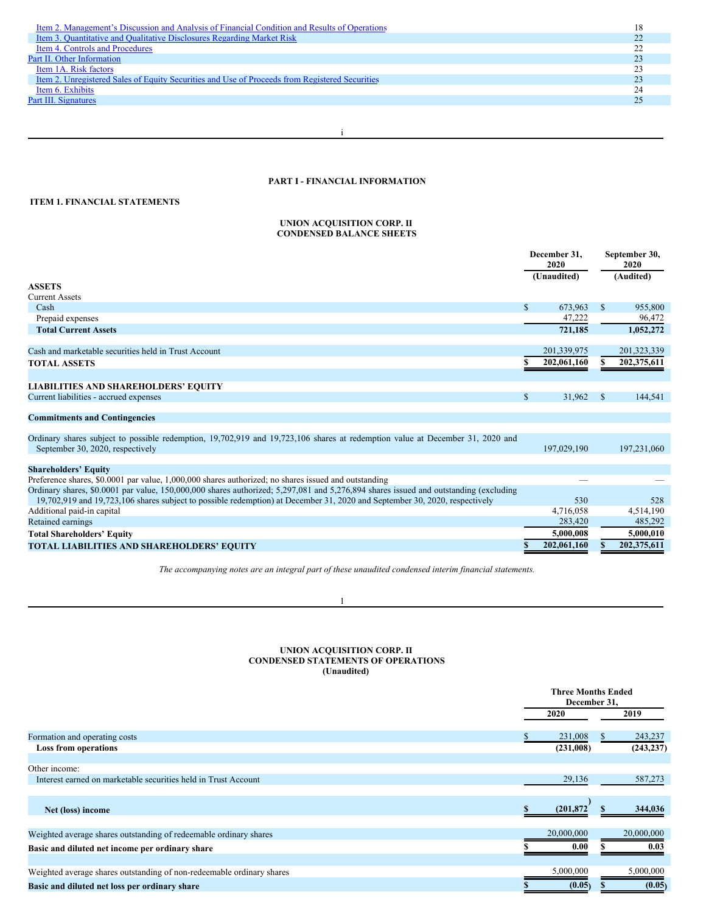| Item 2. Management's Discussion and Analysis of Financial Condition and Results of Operations  |  |
|------------------------------------------------------------------------------------------------|--|
| Item 3. Quantitative and Qualitative Disclosures Regarding Market Risk                         |  |
| Item 4. Controls and Procedures                                                                |  |
| Part II. Other Information                                                                     |  |
| Item 1A. Risk factors                                                                          |  |
| Item 2. Unregistered Sales of Equity Securities and Use of Proceeds from Registered Securities |  |
| Item 6. Exhibits                                                                               |  |
| Part III. Signatures                                                                           |  |
|                                                                                                |  |

i

# <span id="page-1-0"></span>**PART I - FINANCIAL INFORMATION**

# <span id="page-1-1"></span>**ITEM 1. FINANCIAL STATEMENTS**

### <span id="page-1-2"></span>**UNION ACQUISITION CORP. II CONDENSED BALANCE SHEETS**

|                                                                                                                                                                                                                                                                    |              | December 31.<br>2020 |              | September 30,<br>2020 |
|--------------------------------------------------------------------------------------------------------------------------------------------------------------------------------------------------------------------------------------------------------------------|--------------|----------------------|--------------|-----------------------|
| <b>ASSETS</b>                                                                                                                                                                                                                                                      |              | (Unaudited)          |              | (Audited)             |
| <b>Current Assets</b>                                                                                                                                                                                                                                              |              |                      |              |                       |
| Cash                                                                                                                                                                                                                                                               | $\mathbb{S}$ | 673,963              | \$           | 955,800               |
| Prepaid expenses                                                                                                                                                                                                                                                   |              | 47,222               |              | 96,472                |
| <b>Total Current Assets</b>                                                                                                                                                                                                                                        |              | 721,185              |              | 1,052,272             |
| Cash and marketable securities held in Trust Account                                                                                                                                                                                                               |              | 201,339,975          |              | 201,323,339           |
|                                                                                                                                                                                                                                                                    |              | 202,061,160          | S            | 202,375,611           |
| <b>TOTAL ASSETS</b>                                                                                                                                                                                                                                                |              |                      |              |                       |
| <b>LIABILITIES AND SHAREHOLDERS' EQUITY</b>                                                                                                                                                                                                                        |              |                      |              |                       |
| Current liabilities - accrued expenses                                                                                                                                                                                                                             | $\mathbb{S}$ | 31,962               | <sup>S</sup> | 144,541               |
| <b>Commitments and Contingencies</b>                                                                                                                                                                                                                               |              |                      |              |                       |
| Ordinary shares subject to possible redemption, 19,702,919 and 19,723,106 shares at redemption value at December 31, 2020 and<br>September 30, 2020, respectively                                                                                                  |              | 197,029,190          |              | 197,231,060           |
| <b>Shareholders' Equity</b>                                                                                                                                                                                                                                        |              |                      |              |                       |
| Preference shares, \$0.0001 par value, 1,000,000 shares authorized; no shares issued and outstanding                                                                                                                                                               |              |                      |              |                       |
| Ordinary shares, \$0.0001 par value, 150,000,000 shares authorized; 5,297,081 and 5,276,894 shares issued and outstanding (excluding<br>19,702,919 and 19,723,106 shares subject to possible redemption) at December 31, 2020 and September 30, 2020, respectively |              | 530                  |              | 528                   |
| Additional paid-in capital                                                                                                                                                                                                                                         |              | 4,716,058            |              | 4,514,190             |
| Retained earnings                                                                                                                                                                                                                                                  |              | 283,420              |              | 485,292               |
| <b>Total Shareholders' Equity</b>                                                                                                                                                                                                                                  |              | 5.000.008            |              | 5,000,010             |
| <b>TOTAL LIABILITIES AND SHAREHOLDERS' EQUITY</b>                                                                                                                                                                                                                  |              | 202,061,160          |              | 202, 375, 611         |

*The accompanying notes are an integral part of these unaudited condensed interim financial statements.*

1

### <span id="page-1-3"></span>**UNION ACQUISITION CORP. II CONDENSED STATEMENTS OF OPERATIONS (Unaudited)**

|                                                                       |            | <b>Three Months Ended</b><br>December 31. |
|-----------------------------------------------------------------------|------------|-------------------------------------------|
|                                                                       | 2020       | 2019                                      |
| Formation and operating costs                                         | 231,008    | 243,237                                   |
| <b>Loss from operations</b>                                           | (231,008)  | (243, 237)                                |
|                                                                       |            |                                           |
| Other income:                                                         |            |                                           |
| Interest earned on marketable securities held in Trust Account        | 29,136     | 587,273                                   |
|                                                                       |            |                                           |
| Net (loss) income                                                     | (201, 872) | 344,036                                   |
|                                                                       |            |                                           |
| Weighted average shares outstanding of redeemable ordinary shares     | 20,000,000 | 20,000,000                                |
| Basic and diluted net income per ordinary share                       | 0.00       | 0.03                                      |
|                                                                       |            |                                           |
| Weighted average shares outstanding of non-redeemable ordinary shares | 5,000,000  | 5,000,000                                 |
| Basic and diluted net loss per ordinary share                         | (0.05)     | (0.05)                                    |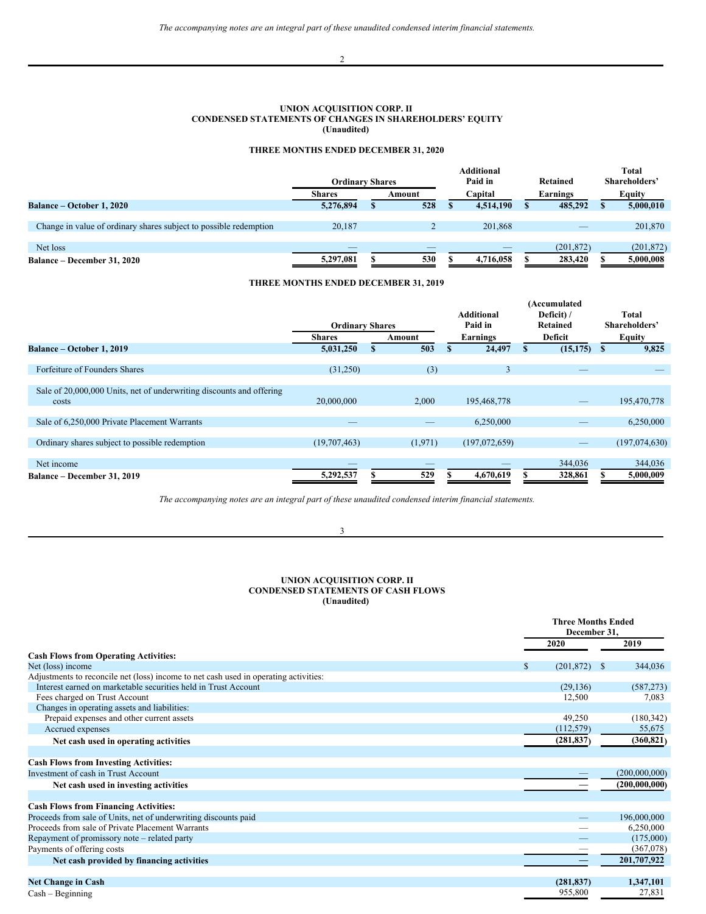# <span id="page-2-0"></span>**UNION ACQUISITION CORP. II CONDENSED STATEMENTS OF CHANGES IN SHAREHOLDERS' EQUITY (Unaudited)**

# **THREE MONTHS ENDED DECEMBER 31, 2020**

|                                                                   | <b>Ordinary Shares</b> |        | <b>Additional</b><br>Paid in | Retained   | Total<br>Shareholders' |
|-------------------------------------------------------------------|------------------------|--------|------------------------------|------------|------------------------|
|                                                                   | <b>Shares</b>          | Amount | Capital                      | Earnings   | <b>Equity</b>          |
| <b>Balance – October 1, 2020</b>                                  | 5,276,894              | 528    | 4,514,190                    | 485,292    | 5,000,010              |
|                                                                   |                        |        |                              |            |                        |
| Change in value of ordinary shares subject to possible redemption | 20.187                 |        | 201,868                      |            | 201,870                |
|                                                                   |                        |        |                              |            |                        |
| Net loss                                                          |                        |        |                              | (201, 872) | (201, 872)             |
| <b>Balance – December 31, 2020</b>                                | 5,297,081              | 530    | 4,716,058                    | 283,420    | 5,000,008              |

# **THREE MONTHS ENDED DECEMBER 31, 2019**

|                                                                      |                        |         |                   |   | (Accumulated |   |               |
|----------------------------------------------------------------------|------------------------|---------|-------------------|---|--------------|---|---------------|
|                                                                      |                        |         | <b>Additional</b> |   | Deficit) /   |   | <b>Total</b>  |
|                                                                      | <b>Ordinary Shares</b> |         | Paid in           |   | Retained     |   | Shareholders' |
|                                                                      | <b>Shares</b>          | Amount  | Earnings          |   | Deficit      |   | Equity        |
| Balance – October 1, 2019                                            | 5,031,250              | 503     | 24,497            | S | (15, 175)    | S | 9,825         |
|                                                                      |                        |         |                   |   |              |   |               |
| Forfeiture of Founders Shares                                        | (31,250)               | (3)     | 3                 |   | $-$          |   |               |
|                                                                      |                        |         |                   |   |              |   |               |
| Sale of 20,000,000 Units, net of underwriting discounts and offering |                        |         |                   |   |              |   |               |
| costs                                                                | 20,000,000             | 2,000   | 195,468,778       |   |              |   | 195,470,778   |
|                                                                      |                        |         |                   |   |              |   |               |
| Sale of 6,250,000 Private Placement Warrants                         |                        |         | 6,250,000         |   |              |   | 6,250,000     |
|                                                                      |                        |         |                   |   |              |   |               |
| Ordinary shares subject to possible redemption                       | (19,707,463)           | (1,971) | (197,072,659)     |   |              |   | (197,074,630) |
|                                                                      |                        |         |                   |   |              |   |               |
| Net income                                                           |                        |         |                   |   | 344,036      |   | 344,036       |
| Balance - December 31, 2019                                          | 5,292,537              | 529     | 4,670,619         |   | 328,861      |   | 5,000,009     |

*The accompanying notes are an integral part of these unaudited condensed interim financial statements.*

3

### <span id="page-2-1"></span>**UNION ACQUISITION CORP. II CONDENSED STATEMENTS OF CASH FLOWS (Unaudited)**

|                                                                                      |                  | <b>Three Months Ended</b><br>December 31. |
|--------------------------------------------------------------------------------------|------------------|-------------------------------------------|
|                                                                                      | 2020             | 2019                                      |
| <b>Cash Flows from Operating Activities:</b>                                         |                  |                                           |
| Net (loss) income                                                                    | \$<br>(201, 872) | 344,036<br>-S                             |
| Adjustments to reconcile net (loss) income to net cash used in operating activities: |                  |                                           |
| Interest earned on marketable securities held in Trust Account                       | (29, 136)        | (587, 273)                                |
| Fees charged on Trust Account                                                        | 12,500           | 7,083                                     |
| Changes in operating assets and liabilities:                                         |                  |                                           |
| Prepaid expenses and other current assets                                            | 49,250           | (180, 342)                                |
| Accrued expenses                                                                     | (112, 579)       | 55,675                                    |
| Net cash used in operating activities                                                | (281, 837)       | (360, 821)                                |
|                                                                                      |                  |                                           |
| <b>Cash Flows from Investing Activities:</b>                                         |                  |                                           |
| Investment of cash in Trust Account                                                  |                  | (200,000,000)                             |
| Net cash used in investing activities                                                |                  | (200,000,000)                             |
|                                                                                      |                  |                                           |
| <b>Cash Flows from Financing Activities:</b>                                         |                  |                                           |
| Proceeds from sale of Units, net of underwriting discounts paid                      |                  | 196,000,000                               |
| Proceeds from sale of Private Placement Warrants                                     |                  | 6,250,000                                 |
| Repayment of promissory note – related party                                         |                  | (175,000)                                 |
| Payments of offering costs                                                           |                  | (367,078)                                 |
| Net cash provided by financing activities                                            |                  | 201,707,922                               |
|                                                                                      |                  |                                           |
| <b>Net Change in Cash</b>                                                            | (281, 837)       | 1,347,101                                 |
| $Cash - Beginning$                                                                   | 955,800          | 27,831                                    |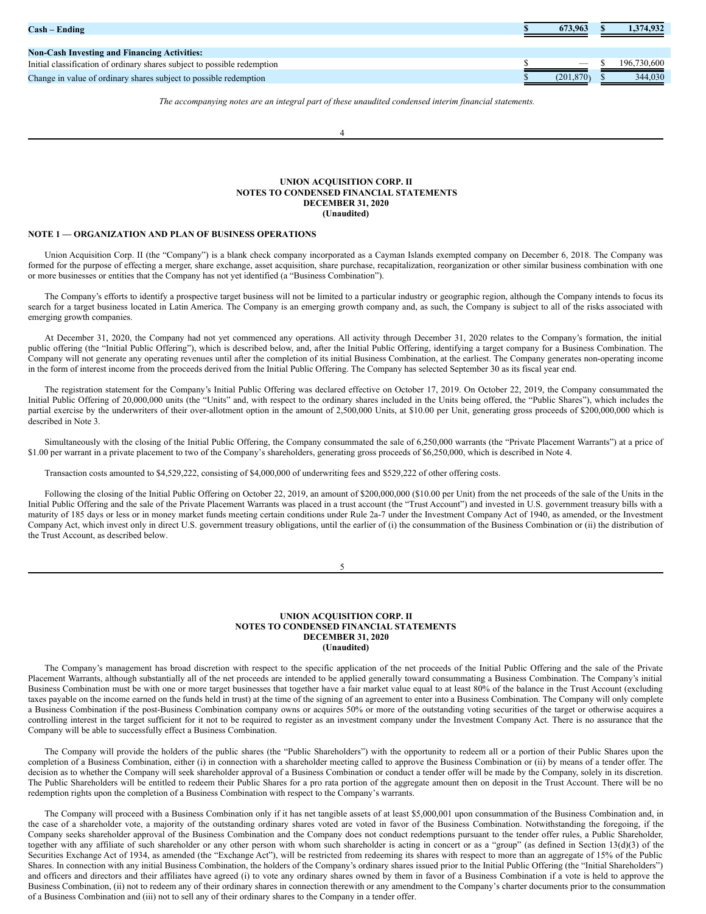| $\mathbf{Cash} - \mathbf{Ending}$                                        | 673.963   | 1,374,932   |
|--------------------------------------------------------------------------|-----------|-------------|
| <b>Non-Cash Investing and Financing Activities:</b>                      |           |             |
| Initial classification of ordinary shares subject to possible redemption |           | 196,730,600 |
| Change in value of ordinary shares subject to possible redemption        | (201.870) | 344,030     |

*The accompanying notes are an integral part of these unaudited condensed interim financial statements.*

### <span id="page-3-0"></span>**UNION ACQUISITION CORP. II NOTES TO CONDENSED FINANCIAL STATEMENTS DECEMBER 31, 2020 (Unaudited)**

### **NOTE 1 — ORGANIZATION AND PLAN OF BUSINESS OPERATIONS**

Union Acquisition Corp. II (the "Company") is a blank check company incorporated as a Cayman Islands exempted company on December 6, 2018. The Company was formed for the purpose of effecting a merger, share exchange, asset acquisition, share purchase, recapitalization, reorganization or other similar business combination with one or more businesses or entities that the Company has not yet identified (a "Business Combination").

The Company's efforts to identify a prospective target business will not be limited to a particular industry or geographic region, although the Company intends to focus its search for a target business located in Latin America. The Company is an emerging growth company and, as such, the Company is subject to all of the risks associated with emerging growth companies.

At December 31, 2020, the Company had not yet commenced any operations. All activity through December 31, 2020 relates to the Company's formation, the initial public offering (the "Initial Public Offering"), which is described below, and, after the Initial Public Offering, identifying a target company for a Business Combination. The Company will not generate any operating revenues until after the completion of its initial Business Combination, at the earliest. The Company generates non-operating income in the form of interest income from the proceeds derived from the Initial Public Offering. The Company has selected September 30 as its fiscal year end.

The registration statement for the Company's Initial Public Offering was declared effective on October 17, 2019. On October 22, 2019, the Company consummated the Initial Public Offering of 20,000,000 units (the "Units" and, with respect to the ordinary shares included in the Units being offered, the "Public Shares"), which includes the partial exercise by the underwriters of their over-allotment option in the amount of 2,500,000 Units, at \$10.00 per Unit, generating gross proceeds of \$200,000,000 which is described in Note 3.

Simultaneously with the closing of the Initial Public Offering, the Company consummated the sale of 6,250,000 warrants (the "Private Placement Warrants") at a price of \$1.00 per warrant in a private placement to two of the Company's shareholders, generating gross proceeds of \$6,250,000, which is described in Note 4.

Transaction costs amounted to \$4,529,222, consisting of \$4,000,000 of underwriting fees and \$529,222 of other offering costs.

Following the closing of the Initial Public Offering on October 22, 2019, an amount of \$200,000,000 (\$10.00 per Unit) from the net proceeds of the sale of the Units in the Initial Public Offering and the sale of the Private Placement Warrants was placed in a trust account (the "Trust Account") and invested in U.S. government treasury bills with a maturity of 185 days or less or in money market funds meeting certain conditions under Rule 2a-7 under the Investment Company Act of 1940, as amended, or the Investment Company Act, which invest only in direct U.S. government treasury obligations, until the earlier of (i) the consummation of the Business Combination or (ii) the distribution of the Trust Account, as described below.

5

### **UNION ACQUISITION CORP. II NOTES TO CONDENSED FINANCIAL STATEMENTS DECEMBER 31, 2020 (Unaudited)**

The Company's management has broad discretion with respect to the specific application of the net proceeds of the Initial Public Offering and the sale of the Private Placement Warrants, although substantially all of the net proceeds are intended to be applied generally toward consummating a Business Combination. The Company's initial Business Combination must be with one or more target businesses that together have a fair market value equal to at least 80% of the balance in the Trust Account (excluding taxes payable on the income earned on the funds held in trust) at the time of the signing of an agreement to enter into a Business Combination. The Company will only complete a Business Combination if the post-Business Combination company owns or acquires 50% or more of the outstanding voting securities of the target or otherwise acquires a controlling interest in the target sufficient for it not to be required to register as an investment company under the Investment Company Act. There is no assurance that the Company will be able to successfully effect a Business Combination.

The Company will provide the holders of the public shares (the "Public Shareholders") with the opportunity to redeem all or a portion of their Public Shares upon the completion of a Business Combination, either (i) in connection with a shareholder meeting called to approve the Business Combination or (ii) by means of a tender offer. The decision as to whether the Company will seek shareholder approval of a Business Combination or conduct a tender offer will be made by the Company, solely in its discretion. The Public Shareholders will be entitled to redeem their Public Shares for a pro rata portion of the aggregate amount then on deposit in the Trust Account. There will be no redemption rights upon the completion of a Business Combination with respect to the Company's warrants.

The Company will proceed with a Business Combination only if it has net tangible assets of at least \$5,000,001 upon consummation of the Business Combination and, in the case of a shareholder vote, a majority of the outstanding ordinary shares voted are voted in favor of the Business Combination. Notwithstanding the foregoing, if the Company seeks shareholder approval of the Business Combination and the Company does not conduct redemptions pursuant to the tender offer rules, a Public Shareholder, together with any affiliate of such shareholder or any other person with whom such shareholder is acting in concert or as a "group" (as defined in Section 13(d)(3) of the Securities Exchange Act of 1934, as amended (the "Exchange Act"), will be restricted from redeeming its shares with respect to more than an aggregate of 15% of the Public Shares. In connection with any initial Business Combination, the holders of the Company's ordinary shares issued prior to the Initial Public Offering (the "Initial Shareholders") and officers and directors and their affiliates have agreed (i) to vote any ordinary shares owned by them in favor of a Business Combination if a vote is held to approve the Business Combination, (ii) not to redeem any of their ordinary shares in connection therewith or any amendment to the Company's charter documents prior to the consummation of a Business Combination and (iii) not to sell any of their ordinary shares to the Company in a tender offer.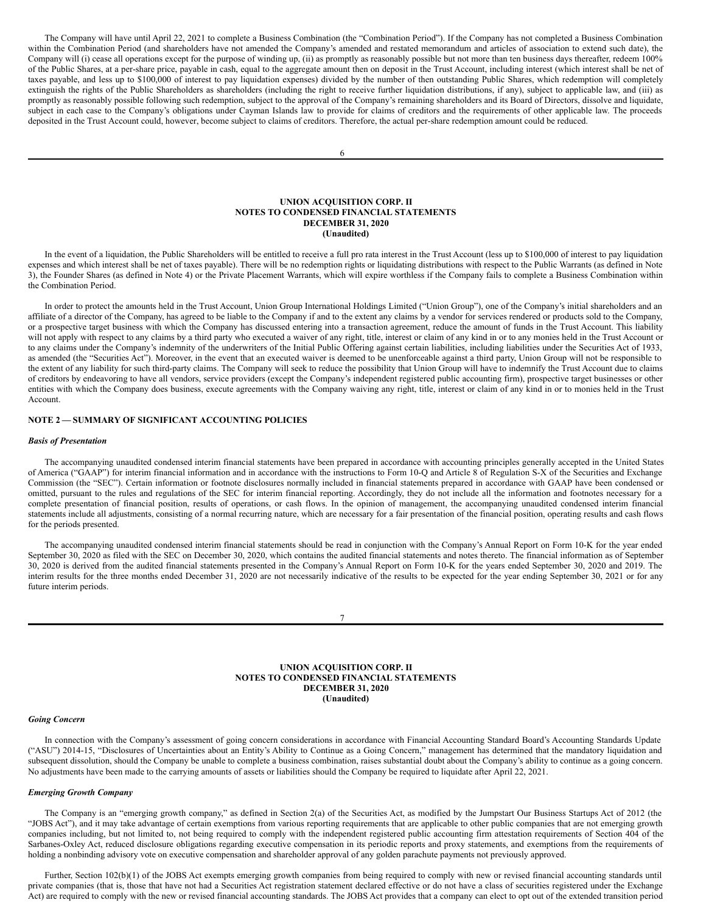The Company will have until April 22, 2021 to complete a Business Combination (the "Combination Period"). If the Company has not completed a Business Combination within the Combination Period (and shareholders have not amended the Company's amended and restated memorandum and articles of association to extend such date), the Company will (i) cease all operations except for the purpose of winding up, (ii) as promptly as reasonably possible but not more than ten business days thereafter, redeem 100% of the Public Shares, at a per-share price, payable in cash, equal to the aggregate amount then on deposit in the Trust Account, including interest (which interest shall be net of taxes payable, and less up to \$100,000 of interest to pay liquidation expenses) divided by the number of then outstanding Public Shares, which redemption will completely extinguish the rights of the Public Shareholders as shareholders (including the right to receive further liquidation distributions, if any), subject to applicable law, and (iii) as promptly as reasonably possible following such redemption, subject to the approval of the Company's remaining shareholders and its Board of Directors, dissolve and liquidate, subject in each case to the Company's obligations under Cayman Islands law to provide for claims of creditors and the requirements of other applicable law. The proceeds deposited in the Trust Account could, however, become subject to claims of creditors. Therefore, the actual per-share redemption amount could be reduced.

6

### **UNION ACQUISITION CORP. II NOTES TO CONDENSED FINANCIAL STATEMENTS DECEMBER 31, 2020 (Unaudited)**

In the event of a liquidation, the Public Shareholders will be entitled to receive a full pro rata interest in the Trust Account (less up to \$100,000 of interest to pay liquidation expenses and which interest shall be net of taxes payable). There will be no redemption rights or liquidating distributions with respect to the Public Warrants (as defined in Note 3), the Founder Shares (as defined in Note 4) or the Private Placement Warrants, which will expire worthless if the Company fails to complete a Business Combination within the Combination Period.

In order to protect the amounts held in the Trust Account, Union Group International Holdings Limited ("Union Group"), one of the Company's initial shareholders and an affiliate of a director of the Company, has agreed to be liable to the Company if and to the extent any claims by a vendor for services rendered or products sold to the Company, or a prospective target business with which the Company has discussed entering into a transaction agreement, reduce the amount of funds in the Trust Account. This liability will not apply with respect to any claims by a third party who executed a waiver of any right, title, interest or claim of any kind in or to any monies held in the Trust Account or to any claims under the Company's indemnity of the underwriters of the Initial Public Offering against certain liabilities, including liabilities under the Securities Act of 1933, as amended (the "Securities Act"). Moreover, in the event that an executed waiver is deemed to be unenforceable against a third party, Union Group will not be responsible to the extent of any liability for such third-party claims. The Company will seek to reduce the possibility that Union Group will have to indemnify the Trust Account due to claims of creditors by endeavoring to have all vendors, service providers (except the Company's independent registered public accounting firm), prospective target businesses or other entities with which the Company does business, execute agreements with the Company waiving any right, title, interest or claim of any kind in or to monies held in the Trust Account.

## **NOTE 2 — SUMMARY OF SIGNIFICANT ACCOUNTING POLICIES**

#### *Basis of Presentation*

The accompanying unaudited condensed interim financial statements have been prepared in accordance with accounting principles generally accepted in the United States of America ("GAAP") for interim financial information and in accordance with the instructions to Form 10-Q and Article 8 of Regulation S-X of the Securities and Exchange Commission (the "SEC"). Certain information or footnote disclosures normally included in financial statements prepared in accordance with GAAP have been condensed or omitted, pursuant to the rules and regulations of the SEC for interim financial reporting. Accordingly, they do not include all the information and footnotes necessary for a complete presentation of financial position, results of operations, or cash flows. In the opinion of management, the accompanying unaudited condensed interim financial statements include all adjustments, consisting of a normal recurring nature, which are necessary for a fair presentation of the financial position, operating results and cash flows for the periods presented.

The accompanying unaudited condensed interim financial statements should be read in conjunction with the Company's Annual Report on Form 10-K for the year ended September 30, 2020 as filed with the SEC on December 30, 2020, which contains the audited financial statements and notes thereto. The financial information as of September 30, 2020 is derived from the audited financial statements presented in the Company's Annual Report on Form 10-K for the years ended September 30, 2020 and 2019. The interim results for the three months ended December 31, 2020 are not necessarily indicative of the results to be expected for the year ending September 30, 2021 or for any future interim periods.

7

**UNION ACQUISITION CORP. II NOTES TO CONDENSED FINANCIAL STATEMENTS DECEMBER 31, 2020 (Unaudited)**

#### *Going Concern*

In connection with the Company's assessment of going concern considerations in accordance with Financial Accounting Standard Board's Accounting Standards Update ("ASU") 2014-15, "Disclosures of Uncertainties about an Entity's Ability to Continue as a Going Concern," management has determined that the mandatory liquidation and subsequent dissolution, should the Company be unable to complete a business combination, raises substantial doubt about the Company's ability to continue as a going concern. No adjustments have been made to the carrying amounts of assets or liabilities should the Company be required to liquidate after April 22, 2021.

# *Emerging Growth Company*

The Company is an "emerging growth company," as defined in Section 2(a) of the Securities Act, as modified by the Jumpstart Our Business Startups Act of 2012 (the "JOBS Act"), and it may take advantage of certain exemptions from various reporting requirements that are applicable to other public companies that are not emerging growth companies including, but not limited to, not being required to comply with the independent registered public accounting firm attestation requirements of Section 404 of the Sarbanes-Oxley Act, reduced disclosure obligations regarding executive compensation in its periodic reports and proxy statements, and exemptions from the requirements of holding a nonbinding advisory vote on executive compensation and shareholder approval of any golden parachute payments not previously approved.

Further, Section 102(b)(1) of the JOBS Act exempts emerging growth companies from being required to comply with new or revised financial accounting standards until private companies (that is, those that have not had a Securities Act registration statement declared effective or do not have a class of securities registered under the Exchange Act) are required to comply with the new or revised financial accounting standards. The JOBS Act provides that a company can elect to opt out of the extended transition period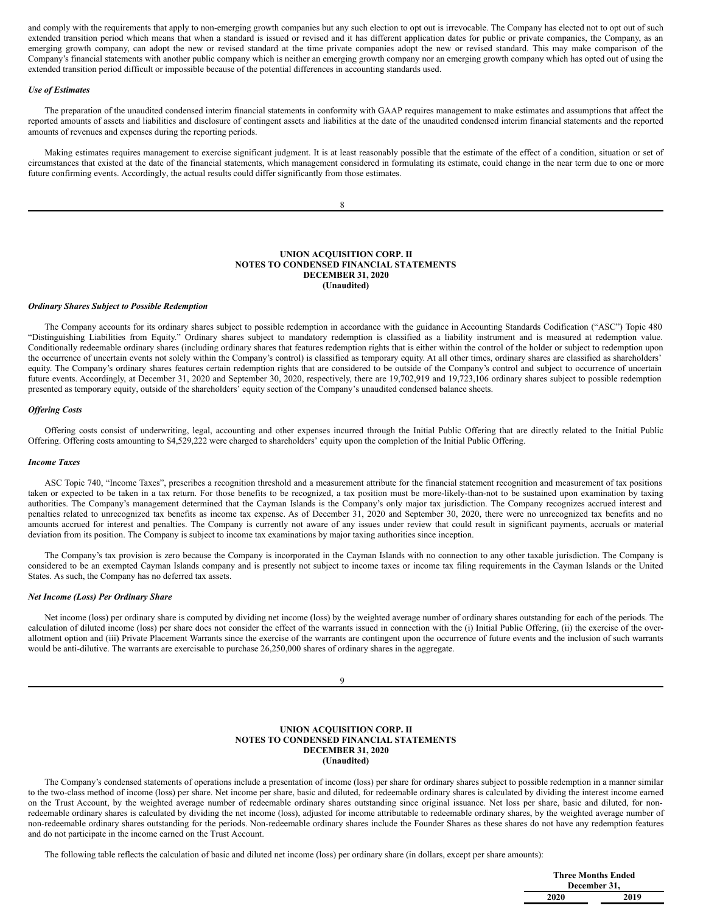and comply with the requirements that apply to non-emerging growth companies but any such election to opt out is irrevocable. The Company has elected not to opt out of such extended transition period which means that when a standard is issued or revised and it has different application dates for public or private companies, the Company, as an emerging growth company, can adopt the new or revised standard at the time private companies adopt the new or revised standard. This may make comparison of the Company's financial statements with another public company which is neither an emerging growth company nor an emerging growth company which has opted out of using the extended transition period difficult or impossible because of the potential differences in accounting standards used.

#### *Use of Estimates*

The preparation of the unaudited condensed interim financial statements in conformity with GAAP requires management to make estimates and assumptions that affect the reported amounts of assets and liabilities and disclosure of contingent assets and liabilities at the date of the unaudited condensed interim financial statements and the reported amounts of revenues and expenses during the reporting periods.

Making estimates requires management to exercise significant judgment. It is at least reasonably possible that the estimate of the effect of a condition, situation or set of circumstances that existed at the date of the financial statements, which management considered in formulating its estimate, could change in the near term due to one or more future confirming events. Accordingly, the actual results could differ significantly from those estimates.

8

### **UNION ACQUISITION CORP. II NOTES TO CONDENSED FINANCIAL STATEMENTS DECEMBER 31, 2020 (Unaudited)**

### *Ordinary Shares Subject to Possible Redemption*

The Company accounts for its ordinary shares subject to possible redemption in accordance with the guidance in Accounting Standards Codification ("ASC") Topic 480 "Distinguishing Liabilities from Equity." Ordinary shares subject to mandatory redemption is classified as a liability instrument and is measured at redemption value. Conditionally redeemable ordinary shares (including ordinary shares that features redemption rights that is either within the control of the holder or subject to redemption upon the occurrence of uncertain events not solely within the Company's control) is classified as temporary equity. At all other times, ordinary shares are classified as shareholders' equity. The Company's ordinary shares features certain redemption rights that are considered to be outside of the Company's control and subject to occurrence of uncertain future events. Accordingly, at December 31, 2020 and September 30, 2020, respectively, there are 19,702,919 and 19,723,106 ordinary shares subject to possible redemption presented as temporary equity, outside of the shareholders' equity section of the Company's unaudited condensed balance sheets.

### *Of ering Costs*

Offering costs consist of underwriting, legal, accounting and other expenses incurred through the Initial Public Offering that are directly related to the Initial Public Offering. Offering costs amounting to \$4,529,222 were charged to shareholders' equity upon the completion of the Initial Public Offering.

### *Income Taxes*

ASC Topic 740, "Income Taxes", prescribes a recognition threshold and a measurement attribute for the financial statement recognition and measurement of tax positions taken or expected to be taken in a tax return. For those benefits to be recognized, a tax position must be more-likely-than-not to be sustained upon examination by taxing authorities. The Company's management determined that the Cayman Islands is the Company's only major tax jurisdiction. The Company recognizes accrued interest and penalties related to unrecognized tax benefits as income tax expense. As of December 31, 2020 and September 30, 2020, there were no unrecognized tax benefits and no amounts accrued for interest and penalties. The Company is currently not aware of any issues under review that could result in significant payments, accruals or material deviation from its position. The Company is subject to income tax examinations by major taxing authorities since inception.

The Company's tax provision is zero because the Company is incorporated in the Cayman Islands with no connection to any other taxable jurisdiction. The Company is considered to be an exempted Cayman Islands company and is presently not subject to income taxes or income tax filing requirements in the Cayman Islands or the United States. As such, the Company has no deferred tax assets.

#### *Net Income (Loss) Per Ordinary Share*

Net income (loss) per ordinary share is computed by dividing net income (loss) by the weighted average number of ordinary shares outstanding for each of the periods. The calculation of diluted income (loss) per share does not consider the effect of the warrants issued in connection with the (i) Initial Public Offering, (ii) the exercise of the overallotment option and (iii) Private Placement Warrants since the exercise of the warrants are contingent upon the occurrence of future events and the inclusion of such warrants would be anti-dilutive. The warrants are exercisable to purchase 26,250,000 shares of ordinary shares in the aggregate.

9

#### **UNION ACQUISITION CORP. II NOTES TO CONDENSED FINANCIAL STATEMENTS DECEMBER 31, 2020 (Unaudited)**

The Company's condensed statements of operations include a presentation of income (loss) per share for ordinary shares subject to possible redemption in a manner similar to the two-class method of income (loss) per share. Net income per share, basic and diluted, for redeemable ordinary shares is calculated by dividing the interest income earned on the Trust Account, by the weighted average number of redeemable ordinary shares outstanding since original issuance. Net loss per share, basic and diluted, for nonredeemable ordinary shares is calculated by dividing the net income (loss), adjusted for income attributable to redeemable ordinary shares, by the weighted average number of non-redeemable ordinary shares outstanding for the periods. Non-redeemable ordinary shares include the Founder Shares as these shares do not have any redemption features and do not participate in the income earned on the Trust Account.

The following table reflects the calculation of basic and diluted net income (loss) per ordinary share (in dollars, except per share amounts):

|      | <b>Three Months Ended</b><br>December 31, |
|------|-------------------------------------------|
| 2020 | 2019                                      |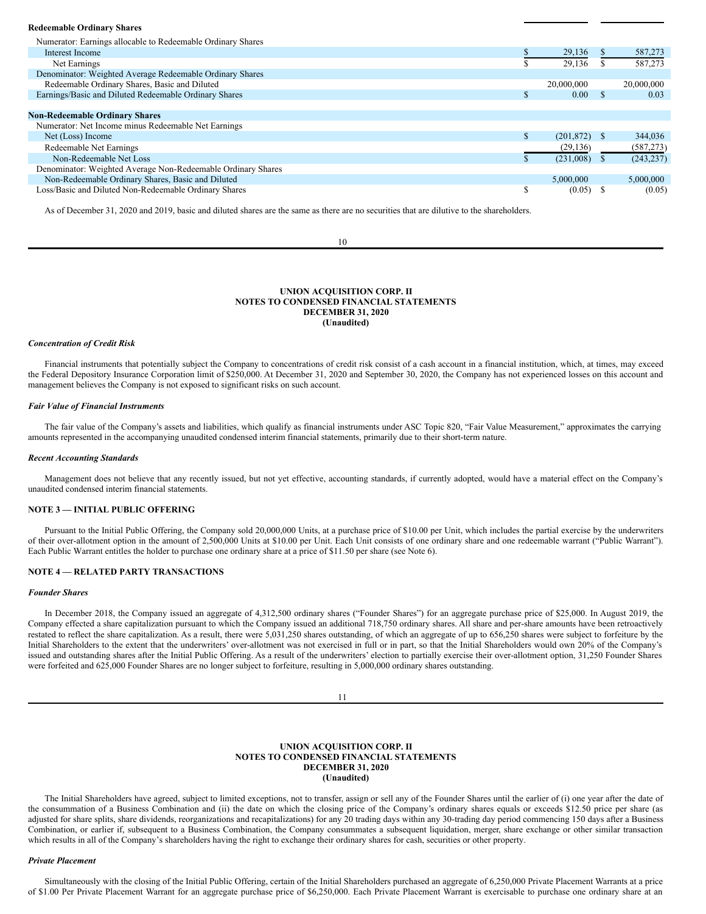#### **Redeemable Ordinary Shares**

| Numerator: Earnings allocable to Redeemable Ordinary Shares  |    |                   |              |            |
|--------------------------------------------------------------|----|-------------------|--------------|------------|
| Interest Income                                              |    | 29,136            |              | 587,273    |
| Net Earnings                                                 |    | 29,136            |              | 587,273    |
| Denominator: Weighted Average Redeemable Ordinary Shares     |    |                   |              |            |
| Redeemable Ordinary Shares, Basic and Diluted                |    | 20,000,000        |              | 20,000,000 |
| Earnings/Basic and Diluted Redeemable Ordinary Shares        | S. | 0.00 <sub>1</sub> |              | 0.03       |
|                                                              |    |                   |              |            |
| <b>Non-Redeemable Ordinary Shares</b>                        |    |                   |              |            |
| Numerator: Net Income minus Redeemable Net Earnings          |    |                   |              |            |
| Net (Loss) Income                                            |    | (201.872)         | <sup>8</sup> | 344,036    |
| Redeemable Net Earnings                                      |    | (29, 136)         |              | (587, 273) |
| Non-Redeemable Net Loss                                      |    | (231,008)         |              | (243, 237) |
| Denominator: Weighted Average Non-Redeemable Ordinary Shares |    |                   |              |            |
| Non-Redeemable Ordinary Shares, Basic and Diluted            |    | 5,000,000         |              | 5,000,000  |
| Loss/Basic and Diluted Non-Redeemable Ordinary Shares        | Э  | (0.05)            |              | (0.05)     |
|                                                              |    |                   |              |            |

As of December 31, 2020 and 2019, basic and diluted shares are the same as there are no securities that are dilutive to the shareholders.

10

### **UNION ACQUISITION CORP. II NOTES TO CONDENSED FINANCIAL STATEMENTS DECEMBER 31, 2020 (Unaudited)**

#### *Concentration of Credit Risk*

Financial instruments that potentially subject the Company to concentrations of credit risk consist of a cash account in a financial institution, which, at times, may exceed the Federal Depository Insurance Corporation limit of \$250,000. At December 31, 2020 and September 30, 2020, the Company has not experienced losses on this account and management believes the Company is not exposed to significant risks on such account.

### *Fair Value of Financial Instruments*

The fair value of the Company's assets and liabilities, which qualify as financial instruments under ASC Topic 820, "Fair Value Measurement," approximates the carrying amounts represented in the accompanying unaudited condensed interim financial statements, primarily due to their short-term nature.

#### *Recent Accounting Standards*

Management does not believe that any recently issued, but not yet effective, accounting standards, if currently adopted, would have a material effect on the Company's unaudited condensed interim financial statements.

### **NOTE 3 — INITIAL PUBLIC OFFERING**

Pursuant to the Initial Public Offering, the Company sold 20,000,000 Units, at a purchase price of \$10.00 per Unit, which includes the partial exercise by the underwriters of their over-allotment option in the amount of 2,500,000 Units at \$10.00 per Unit. Each Unit consists of one ordinary share and one redeemable warrant ("Public Warrant"). Each Public Warrant entitles the holder to purchase one ordinary share at a price of \$11.50 per share (see Note 6).

### **NOTE 4 — RELATED PARTY TRANSACTIONS**

#### *Founder Shares*

In December 2018, the Company issued an aggregate of 4,312,500 ordinary shares ("Founder Shares") for an aggregate purchase price of \$25,000. In August 2019, the Company effected a share capitalization pursuant to which the Company issued an additional 718,750 ordinary shares. All share and per-share amounts have been retroactively restated to reflect the share capitalization. As a result, there were 5,031,250 shares outstanding, of which an aggregate of up to 656,250 shares were subject to forfeiture by the Initial Shareholders to the extent that the underwriters' over-allotment was not exercised in full or in part, so that the Initial Shareholders would own 20% of the Company's issued and outstanding shares after the Initial Public Offering. As a result of the underwriters' election to partially exercise their over-allotment option, 31,250 Founder Shares were forfeited and 625,000 Founder Shares are no longer subject to forfeiture, resulting in 5,000,000 ordinary shares outstanding.

11

#### **UNION ACQUISITION CORP. II NOTES TO CONDENSED FINANCIAL STATEMENTS DECEMBER 31, 2020 (Unaudited)**

The Initial Shareholders have agreed, subject to limited exceptions, not to transfer, assign or sell any of the Founder Shares until the earlier of (i) one year after the date of the consummation of a Business Combination and (ii) the date on which the closing price of the Company's ordinary shares equals or exceeds \$12.50 price per share (as adjusted for share splits, share dividends, reorganizations and recapitalizations) for any 20 trading days within any 30-trading day period commencing 150 days after a Business Combination, or earlier if, subsequent to a Business Combination, the Company consummates a subsequent liquidation, merger, share exchange or other similar transaction which results in all of the Company's shareholders having the right to exchange their ordinary shares for cash, securities or other property.

#### *Private Placement*

Simultaneously with the closing of the Initial Public Offering, certain of the Initial Shareholders purchased an aggregate of 6,250,000 Private Placement Warrants at a price of \$1.00 Per Private Placement Warrant for an aggregate purchase price of \$6,250,000. Each Private Placement Warrant is exercisable to purchase one ordinary share at an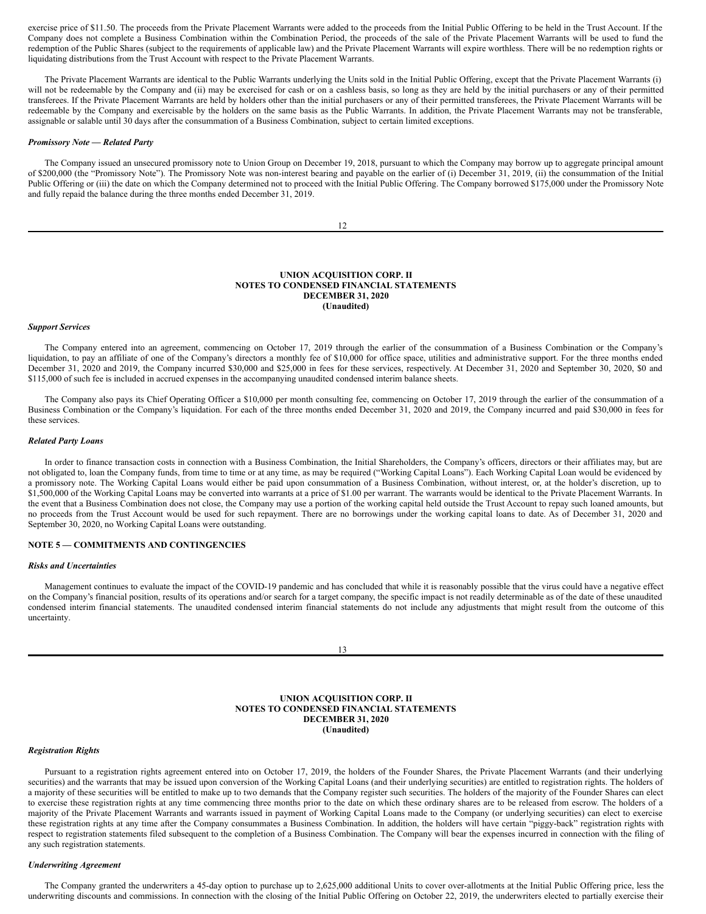exercise price of \$11.50. The proceeds from the Private Placement Warrants were added to the proceeds from the Initial Public Offering to be held in the Trust Account. If the Company does not complete a Business Combination within the Combination Period, the proceeds of the sale of the Private Placement Warrants will be used to fund the redemption of the Public Shares (subject to the requirements of applicable law) and the Private Placement Warrants will expire worthless. There will be no redemption rights or liquidating distributions from the Trust Account with respect to the Private Placement Warrants.

The Private Placement Warrants are identical to the Public Warrants underlying the Units sold in the Initial Public Offering, except that the Private Placement Warrants (i) will not be redeemable by the Company and (ii) may be exercised for cash or on a cashless basis, so long as they are held by the initial purchasers or any of their permitted transferees. If the Private Placement Warrants are held by holders other than the initial purchasers or any of their permitted transferees, the Private Placement Warrants will be redeemable by the Company and exercisable by the holders on the same basis as the Public Warrants. In addition, the Private Placement Warrants may not be transferable, assignable or salable until 30 days after the consummation of a Business Combination, subject to certain limited exceptions.

#### *Promissory Note — Related Party*

The Company issued an unsecured promissory note to Union Group on December 19, 2018, pursuant to which the Company may borrow up to aggregate principal amount of \$200,000 (the "Promissory Note"). The Promissory Note was non-interest bearing and payable on the earlier of (i) December 31, 2019, (ii) the consummation of the Initial Public Offering or (iii) the date on which the Company determined not to proceed with the Initial Public Offering. The Company borrowed \$175,000 under the Promissory Note and fully repaid the balance during the three months ended December 31, 2019.

12

### **UNION ACQUISITION CORP. II NOTES TO CONDENSED FINANCIAL STATEMENTS DECEMBER 31, 2020 (Unaudited)**

#### *Support Services*

The Company entered into an agreement, commencing on October 17, 2019 through the earlier of the consummation of a Business Combination or the Company's liquidation, to pay an affiliate of one of the Company's directors a monthly fee of \$10,000 for office space, utilities and administrative support. For the three months ended December 31, 2020 and 2019, the Company incurred \$30,000 and \$25,000 in fees for these services, respectively. At December 31, 2020 and September 30, 2020, \$0 and \$115,000 of such fee is included in accrued expenses in the accompanying unaudited condensed interim balance sheets.

The Company also pays its Chief Operating Officer a \$10,000 per month consulting fee, commencing on October 17, 2019 through the earlier of the consummation of a Business Combination or the Company's liquidation. For each of the three months ended December 31, 2020 and 2019, the Company incurred and paid \$30,000 in fees for these services.

### *Related Party Loans*

In order to finance transaction costs in connection with a Business Combination, the Initial Shareholders, the Company's officers, directors or their affiliates may, but are not obligated to, loan the Company funds, from time to time or at any time, as may be required ("Working Capital Loans"). Each Working Capital Loan would be evidenced by a promissory note. The Working Capital Loans would either be paid upon consummation of a Business Combination, without interest, or, at the holder's discretion, up to \$1,500,000 of the Working Capital Loans may be converted into warrants at a price of \$1.00 per warrant. The warrants would be identical to the Private Placement Warrants. In the event that a Business Combination does not close, the Company may use a portion of the working capital held outside the Trust Account to repay such loaned amounts, but no proceeds from the Trust Account would be used for such repayment. There are no borrowings under the working capital loans to date. As of December 31, 2020 and September 30, 2020, no Working Capital Loans were outstanding.

### **NOTE 5 — COMMITMENTS AND CONTINGENCIES**

#### *Risks and Uncertainties*

Management continues to evaluate the impact of the COVID-19 pandemic and has concluded that while it is reasonably possible that the virus could have a negative effect on the Company's financial position, results of its operations and/or search for a target company, the specific impact is not readily determinable as of the date of these unaudited condensed interim financial statements. The unaudited condensed interim financial statements do not include any adjustments that might result from the outcome of this uncertainty.

13

### **UNION ACQUISITION CORP. II NOTES TO CONDENSED FINANCIAL STATEMENTS DECEMBER 31, 2020 (Unaudited)**

### *Registration Rights*

Pursuant to a registration rights agreement entered into on October 17, 2019, the holders of the Founder Shares, the Private Placement Warrants (and their underlying securities) and the warrants that may be issued upon conversion of the Working Capital Loans (and their underlying securities) are entitled to registration rights. The holders of a majority of these securities will be entitled to make up to two demands that the Company register such securities. The holders of the majority of the Founder Shares can elect to exercise these registration rights at any time commencing three months prior to the date on which these ordinary shares are to be released from escrow. The holders of a majority of the Private Placement Warrants and warrants issued in payment of Working Capital Loans made to the Company (or underlying securities) can elect to exercise these registration rights at any time after the Company consummates a Business Combination. In addition, the holders will have certain "piggy-back" registration rights with respect to registration statements filed subsequent to the completion of a Business Combination. The Company will bear the expenses incurred in connection with the filing of any such registration statements.

#### *Underwriting Agreement*

The Company granted the underwriters a 45-day option to purchase up to 2,625,000 additional Units to cover over-allotments at the Initial Public Offering price, less the underwriting discounts and commissions. In connection with the closing of the Initial Public Offering on October 22, 2019, the underwriters elected to partially exercise their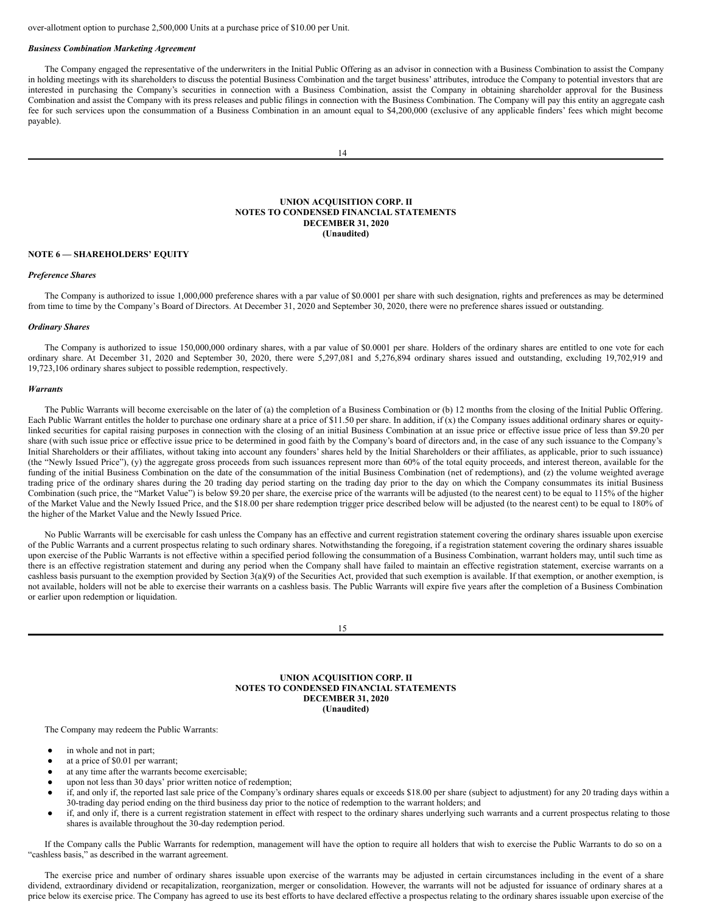over-allotment option to purchase 2,500,000 Units at a purchase price of \$10.00 per Unit.

### *Business Combination Marketing Agreement*

The Company engaged the representative of the underwriters in the Initial Public Offering as an advisor in connection with a Business Combination to assist the Company in holding meetings with its shareholders to discuss the potential Business Combination and the target business' attributes, introduce the Company to potential investors that are interested in purchasing the Company's securities in connection with a Business Combination, assist the Company in obtaining shareholder approval for the Business Combination and assist the Company with its press releases and public filings in connection with the Business Combination. The Company will pay this entity an aggregate cash fee for such services upon the consummation of a Business Combination in an amount equal to \$4,200,000 (exclusive of any applicable finders' fees which might become payable).

14

### **UNION ACQUISITION CORP. II NOTES TO CONDENSED FINANCIAL STATEMENTS DECEMBER 31, 2020 (Unaudited)**

### **NOTE 6 — SHAREHOLDERS' EQUITY**

#### *Preference Shares*

The Company is authorized to issue 1,000,000 preference shares with a par value of \$0.0001 per share with such designation, rights and preferences as may be determined from time to time by the Company's Board of Directors. At December 31, 2020 and September 30, 2020, there were no preference shares issued or outstanding.

#### *Ordinary Shares*

The Company is authorized to issue 150,000,000 ordinary shares, with a par value of \$0.0001 per share. Holders of the ordinary shares are entitled to one vote for each ordinary share. At December 31, 2020 and September 30, 2020, there were 5,297,081 and 5,276,894 ordinary shares issued and outstanding, excluding 19,702,919 and 19,723,106 ordinary shares subject to possible redemption, respectively.

#### *Warrants*

The Public Warrants will become exercisable on the later of (a) the completion of a Business Combination or (b) 12 months from the closing of the Initial Public Offering. Each Public Warrant entitles the holder to purchase one ordinary share at a price of \$11.50 per share. In addition, if (x) the Company issues additional ordinary shares or equitylinked securities for capital raising purposes in connection with the closing of an initial Business Combination at an issue price or effective issue price of less than \$9.20 per share (with such issue price or effective issue price to be determined in good faith by the Company's board of directors and, in the case of any such issuance to the Company's Initial Shareholders or their affiliates, without taking into account any founders' shares held by the Initial Shareholders or their affiliates, as applicable, prior to such issuance) (the "Newly Issued Price"), (y) the aggregate gross proceeds from such issuances represent more than 60% of the total equity proceeds, and interest thereon, available for the funding of the initial Business Combination on the date of the consummation of the initial Business Combination (net of redemptions), and (z) the volume weighted average trading price of the ordinary shares during the 20 trading day period starting on the trading day prior to the day on which the Company consummates its initial Business Combination (such price, the "Market Value") is below \$9.20 per share, the exercise price of the warrants will be adjusted (to the nearest cent) to be equal to 115% of the higher of the Market Value and the Newly Issued Price, and the \$18.00 per share redemption trigger price described below will be adjusted (to the nearest cent) to be equal to 180% of the higher of the Market Value and the Newly Issued Price.

No Public Warrants will be exercisable for cash unless the Company has an effective and current registration statement covering the ordinary shares issuable upon exercise of the Public Warrants and a current prospectus relating to such ordinary shares. Notwithstanding the foregoing, if a registration statement covering the ordinary shares issuable upon exercise of the Public Warrants is not effective within a specified period following the consummation of a Business Combination, warrant holders may, until such time as there is an effective registration statement and during any period when the Company shall have failed to maintain an effective registration statement, exercise warrants on a cashless basis pursuant to the exemption provided by Section  $3(a)(9)$  of the Securities Act, provided that such exemption is available. If that exemption, or another exemption, is not available, holders will not be able to exercise their warrants on a cashless basis. The Public Warrants will expire five years after the completion of a Business Combination or earlier upon redemption or liquidation.

15

### **UNION ACQUISITION CORP. II NOTES TO CONDENSED FINANCIAL STATEMENTS DECEMBER 31, 2020 (Unaudited)**

The Company may redeem the Public Warrants:

- in whole and not in part;
- at a price of \$0.01 per warrant;
- at any time after the warrants become exercisable;
- upon not less than 30 days' prior written notice of redemption;
- if, and only if, the reported last sale price of the Company's ordinary shares equals or exceeds \$18.00 per share (subject to adjustment) for any 20 trading days within a 30-trading day period ending on the third business day prior to the notice of redemption to the warrant holders; and
- if, and only if, there is a current registration statement in effect with respect to the ordinary shares underlying such warrants and a current prospectus relating to those shares is available throughout the 30-day redemption period.

If the Company calls the Public Warrants for redemption, management will have the option to require all holders that wish to exercise the Public Warrants to do so on a "cashless basis," as described in the warrant agreement.

The exercise price and number of ordinary shares issuable upon exercise of the warrants may be adjusted in certain circumstances including in the event of a share dividend, extraordinary dividend or recapitalization, reorganization, merger or consolidation. However, the warrants will not be adjusted for issuance of ordinary shares at a price below its exercise price. The Company has agreed to use its best efforts to have declared effective a prospectus relating to the ordinary shares issuable upon exercise of the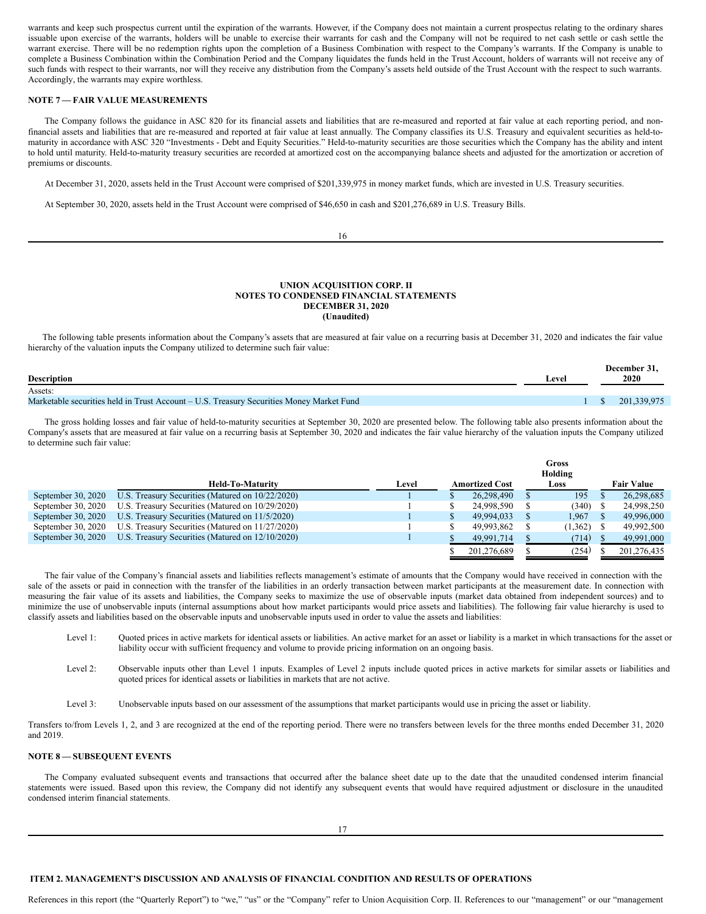warrants and keep such prospectus current until the expiration of the warrants. However, if the Company does not maintain a current prospectus relating to the ordinary shares issuable upon exercise of the warrants, holders will be unable to exercise their warrants for cash and the Company will not be required to net cash settle or cash settle the warrant exercise. There will be no redemption rights upon the completion of a Business Combination with respect to the Company's warrants. If the Company is unable to complete a Business Combination within the Combination Period and the Company liquidates the funds held in the Trust Account, holders of warrants will not receive any of such funds with respect to their warrants, nor will they receive any distribution from the Company's assets held outside of the Trust Account with the respect to such warrants. Accordingly, the warrants may expire worthless.

## **NOTE 7 — FAIR VALUE MEASUREMENTS**

The Company follows the guidance in ASC 820 for its financial assets and liabilities that are re-measured and reported at fair value at each reporting period, and nonfinancial assets and liabilities that are re-measured and reported at fair value at least annually. The Company classifies its U.S. Treasury and equivalent securities as held-tomaturity in accordance with ASC 320 "Investments - Debt and Equity Securities." Held-to-maturity securities are those securities which the Company has the ability and intent to hold until maturity. Held-to-maturity treasury securities are recorded at amortized cost on the accompanying balance sheets and adjusted for the amortization or accretion of premiums or discounts.

At December 31, 2020, assets held in the Trust Account were comprised of \$201,339,975 in money market funds, which are invested in U.S. Treasury securities.

At September 30, 2020, assets held in the Trust Account were comprised of \$46,650 in cash and \$201,276,689 in U.S. Treasury Bills.

16

### **UNION ACQUISITION CORP. II NOTES TO CONDENSED FINANCIAL STATEMENTS DECEMBER 31, 2020 (Unaudited)**

The following table presents information about the Company's assets that are measured at fair value on a recurring basis at December 31, 2020 and indicates the fair value hierarchy of the valuation inputs the Company utilized to determine such fair value:

| <b>Description</b>                                                                       | Level | December 31,<br>2020 |
|------------------------------------------------------------------------------------------|-------|----------------------|
| Assets:                                                                                  |       |                      |
| Marketable securities held in Trust Account – U.S. Treasury Securities Money Market Fund |       | 201.339.975          |

The gross holding losses and fair value of held-to-maturity securities at September 30, 2020 are presented below. The following table also presents information about the Company's assets that are measured at fair value on a recurring basis at September 30, 2020 and indicates the fair value hierarchy of the valuation inputs the Company utilized to determine such fair value:

|                    |                                                  |       | Gross |                       |  |         |  |                   |
|--------------------|--------------------------------------------------|-------|-------|-----------------------|--|---------|--|-------------------|
|                    |                                                  |       |       | Holding               |  |         |  |                   |
|                    | <b>Held-To-Maturity</b>                          | Level |       | <b>Amortized Cost</b> |  | Loss    |  | <b>Fair Value</b> |
| September 30, 2020 | U.S. Treasury Securities (Matured on 10/22/2020) |       |       | 26,298,490            |  | 195     |  | 26,298,685        |
| September 30, 2020 | U.S. Treasury Securities (Matured on 10/29/2020) |       |       | 24,998,590            |  | (340)   |  | 24,998,250        |
| September 30, 2020 | U.S. Treasury Securities (Matured on 11/5/2020)  |       |       | 49.994.033            |  | 1.967   |  | 49,996,000        |
| September 30, 2020 | U.S. Treasury Securities (Matured on 11/27/2020) |       |       | 49,993,862            |  | (1,362) |  | 49,992,500        |
| September 30, 2020 | U.S. Treasury Securities (Matured on 12/10/2020) |       |       | 49,991,714            |  | (714)   |  | 49,991,000        |
|                    |                                                  |       |       | 201.276.689           |  | (254)   |  | 201.276.435       |

The fair value of the Company's financial assets and liabilities reflects management's estimate of amounts that the Company would have received in connection with the sale of the assets or paid in connection with the transfer of the liabilities in an orderly transaction between market participants at the measurement date. In connection with measuring the fair value of its assets and liabilities, the Company seeks to maximize the use of observable inputs (market data obtained from independent sources) and to minimize the use of unobservable inputs (internal assumptions about how market participants would price assets and liabilities). The following fair value hierarchy is used to classify assets and liabilities based on the observable inputs and unobservable inputs used in order to value the assets and liabilities:

- Level 1: Ouoted prices in active markets for identical assets or liabilities. An active market for an asset or liability is a market in which transactions for the asset or liability occur with sufficient frequency and volume to provide pricing information on an ongoing basis.
- Level 2: Observable inputs other than Level 1 inputs. Examples of Level 2 inputs include quoted prices in active markets for similar assets or liabilities and quoted prices for identical assets or liabilities in markets that are not active.
- Level 3: Unobservable inputs based on our assessment of the assumptions that market participants would use in pricing the asset or liability.

Transfers to/from Levels 1, 2, and 3 are recognized at the end of the reporting period. There were no transfers between levels for the three months ended December 31, 2020 and 2019.

## **NOTE 8 — SUBSEQUENT EVENTS**

The Company evaluated subsequent events and transactions that occurred after the balance sheet date up to the date that the unaudited condensed interim financial statements were issued. Based upon this review, the Company did not identify any subsequent events that would have required adjustment or disclosure in the unaudited condensed interim financial statements.

#### <span id="page-9-0"></span>**ITEM 2. MANAGEMENT'S DISCUSSION AND ANALYSIS OF FINANCIAL CONDITION AND RESULTS OF OPERATIONS**

References in this report (the "Quarterly Report") to "we," "us" or the "Company" refer to Union Acquisition Corp. II. References to our "management" or our "management"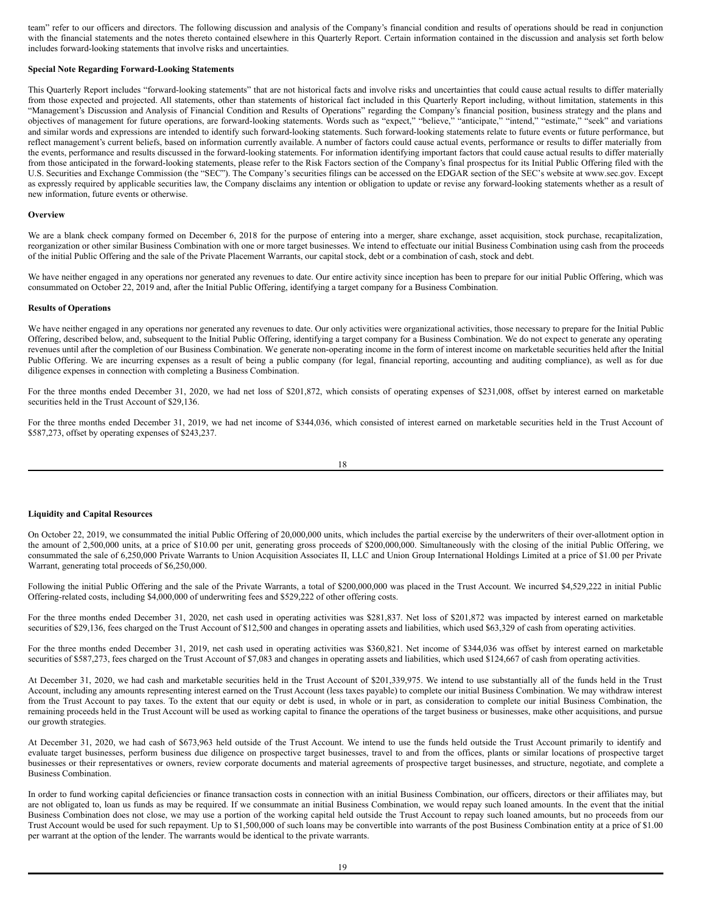team" refer to our officers and directors. The following discussion and analysis of the Company's financial condition and results of operations should be read in conjunction with the financial statements and the notes thereto contained elsewhere in this Quarterly Report. Certain information contained in the discussion and analysis set forth below includes forward-looking statements that involve risks and uncertainties.

### **Special Note Regarding Forward-Looking Statements**

This Quarterly Report includes "forward-looking statements" that are not historical facts and involve risks and uncertainties that could cause actual results to differ materially from those expected and projected. All statements, other than statements of historical fact included in this Quarterly Report including, without limitation, statements in this "Management's Discussion and Analysis of Financial Condition and Results of Operations" regarding the Company's financial position, business strategy and the plans and objectives of management for future operations, are forward-looking statements. Words such as "expect," "believe," "anticipate," "intend," "estimate," "seek" and variations and similar words and expressions are intended to identify such forward-looking statements. Such forward-looking statements relate to future events or future performance, but reflect management's current beliefs, based on information currently available. A number of factors could cause actual events, performance or results to differ materially from the events, performance and results discussed in the forward-looking statements. For information identifying important factors that could cause actual results to differ materially from those anticipated in the forward-looking statements, please refer to the Risk Factors section of the Company's final prospectus for its Initial Public Offering filed with the U.S. Securities and Exchange Commission (the "SEC"). The Company's securities filings can be accessed on the EDGAR section of the SEC's website at www.sec.gov. Except as expressly required by applicable securities law, the Company disclaims any intention or obligation to update or revise any forward-looking statements whether as a result of new information, future events or otherwise.

#### **Overview**

We are a blank check company formed on December 6, 2018 for the purpose of entering into a merger, share exchange, asset acquisition, stock purchase, recapitalization, reorganization or other similar Business Combination with one or more target businesses. We intend to effectuate our initial Business Combination using cash from the proceeds of the initial Public Offering and the sale of the Private Placement Warrants, our capital stock, debt or a combination of cash, stock and debt.

We have neither engaged in any operations nor generated any revenues to date. Our entire activity since inception has been to prepare for our initial Public Offering, which was consummated on October 22, 2019 and, after the Initial Public Offering, identifying a target company for a Business Combination.

#### **Results of Operations**

We have neither engaged in any operations nor generated any revenues to date. Our only activities were organizational activities, those necessary to prepare for the Initial Public Offering, described below, and, subsequent to the Initial Public Offering, identifying a target company for a Business Combination. We do not expect to generate any operating revenues until after the completion of our Business Combination. We generate non-operating income in the form of interest income on marketable securities held after the Initial Public Offering. We are incurring expenses as a result of being a public company (for legal, financial reporting, accounting and auditing compliance), as well as for due diligence expenses in connection with completing a Business Combination.

For the three months ended December 31, 2020, we had net loss of \$201,872, which consists of operating expenses of \$231,008, offset by interest earned on marketable securities held in the Trust Account of \$29,136.

For the three months ended December 31, 2019, we had net income of \$344,036, which consisted of interest earned on marketable securities held in the Trust Account of \$587,273, offset by operating expenses of \$243,237.

$$
18\\
$$

#### **Liquidity and Capital Resources**

On October 22, 2019, we consummated the initial Public Offering of 20,000,000 units, which includes the partial exercise by the underwriters of their over-allotment option in the amount of 2,500,000 units, at a price of \$10.00 per unit, generating gross proceeds of \$200,000,000. Simultaneously with the closing of the initial Public Offering, we consummated the sale of 6,250,000 Private Warrants to Union Acquisition Associates II, LLC and Union Group International Holdings Limited at a price of \$1.00 per Private Warrant, generating total proceeds of \$6,250,000.

Following the initial Public Offering and the sale of the Private Warrants, a total of \$200,000,000 was placed in the Trust Account. We incurred \$4,529,222 in initial Public Offering-related costs, including \$4,000,000 of underwriting fees and \$529,222 of other offering costs.

For the three months ended December 31, 2020, net cash used in operating activities was \$281,837. Net loss of \$201,872 was impacted by interest earned on marketable securities of \$29,136, fees charged on the Trust Account of \$12,500 and changes in operating assets and liabilities, which used \$63,329 of cash from operating activities.

For the three months ended December 31, 2019, net cash used in operating activities was \$360,821. Net income of \$344,036 was offset by interest earned on marketable securities of \$587,273, fees charged on the Trust Account of \$7,083 and changes in operating assets and liabilities, which used \$124,667 of cash from operating activities.

At December 31, 2020, we had cash and marketable securities held in the Trust Account of \$201,339,975. We intend to use substantially all of the funds held in the Trust Account, including any amounts representing interest earned on the Trust Account (less taxes payable) to complete our initial Business Combination. We may withdraw interest from the Trust Account to pay taxes. To the extent that our equity or debt is used, in whole or in part, as consideration to complete our initial Business Combination, the remaining proceeds held in the Trust Account will be used as working capital to finance the operations of the target business or businesses, make other acquisitions, and pursue our growth strategies.

At December 31, 2020, we had cash of \$673,963 held outside of the Trust Account. We intend to use the funds held outside the Trust Account primarily to identify and evaluate target businesses, perform business due diligence on prospective target businesses, travel to and from the offices, plants or similar locations of prospective target businesses or their representatives or owners, review corporate documents and material agreements of prospective target businesses, and structure, negotiate, and complete a Business Combination.

In order to fund working capital deficiencies or finance transaction costs in connection with an initial Business Combination, our officers, directors or their affiliates may, but are not obligated to, loan us funds as may be required. If we consummate an initial Business Combination, we would repay such loaned amounts. In the event that the initial Business Combination does not close, we may use a portion of the working capital held outside the Trust Account to repay such loaned amounts, but no proceeds from our Trust Account would be used for such repayment. Up to \$1,500,000 of such loans may be convertible into warrants of the post Business Combination entity at a price of \$1.00 per warrant at the option of the lender. The warrants would be identical to the private warrants.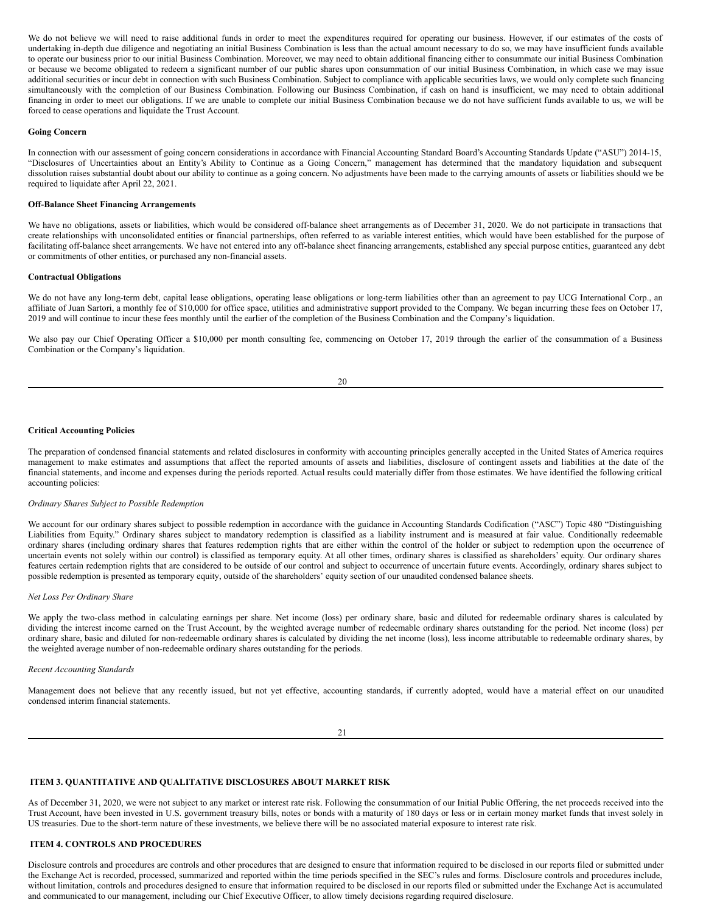We do not believe we will need to raise additional funds in order to meet the expenditures required for operating our business. However, if our estimates of the costs of undertaking in-depth due diligence and negotiating an initial Business Combination is less than the actual amount necessary to do so, we may have insufficient funds available to operate our business prior to our initial Business Combination. Moreover, we may need to obtain additional financing either to consummate our initial Business Combination or because we become obligated to redeem a significant number of our public shares upon consummation of our initial Business Combination, in which case we may issue additional securities or incur debt in connection with such Business Combination. Subject to compliance with applicable securities laws, we would only complete such financing simultaneously with the completion of our Business Combination. Following our Business Combination, if cash on hand is insufficient, we may need to obtain additional financing in order to meet our obligations. If we are unable to complete our initial Business Combination because we do not have sufficient funds available to us, we will be forced to cease operations and liquidate the Trust Account.

### **Going Concern**

In connection with our assessment of going concern considerations in accordance with Financial Accounting Standard Board's Accounting Standards Update ("ASU") 2014-15, "Disclosures of Uncertainties about an Entity's Ability to Continue as a Going Concern," management has determined that the mandatory liquidation and subsequent dissolution raises substantial doubt about our ability to continue as a going concern. No adjustments have been made to the carrying amounts of assets or liabilities should we be required to liquidate after April 22, 2021.

### **Off-Balance Sheet Financing Arrangements**

We have no obligations, assets or liabilities, which would be considered off-balance sheet arrangements as of December 31, 2020. We do not participate in transactions that create relationships with unconsolidated entities or financial partnerships, often referred to as variable interest entities, which would have been established for the purpose of facilitating off-balance sheet arrangements. We have not entered into any off-balance sheet financing arrangements, established any special purpose entities, guaranteed any debt or commitments of other entities, or purchased any non-financial assets.

### **Contractual Obligations**

We do not have any long-term debt, capital lease obligations, operating lease obligations or long-term liabilities other than an agreement to pay UCG International Corp., an affiliate of Juan Sartori, a monthly fee of \$10,000 for office space, utilities and administrative support provided to the Company. We began incurring these fees on October 17, 2019 and will continue to incur these fees monthly until the earlier of the completion of the Business Combination and the Company's liquidation.

We also pay our Chief Operating Officer a \$10,000 per month consulting fee, commencing on October 17, 2019 through the earlier of the consummation of a Business Combination or the Company's liquidation.

#### **Critical Accounting Policies**

The preparation of condensed financial statements and related disclosures in conformity with accounting principles generally accepted in the United States of America requires management to make estimates and assumptions that affect the reported amounts of assets and liabilities, disclosure of contingent assets and liabilities at the date of the financial statements, and income and expenses during the periods reported. Actual results could materially differ from those estimates. We have identified the following critical accounting policies:

#### *Ordinary Shares Subject to Possible Redemption*

We account for our ordinary shares subject to possible redemption in accordance with the guidance in Accounting Standards Codification ("ASC") Topic 480 "Distinguishing Liabilities from Equity." Ordinary shares subject to mandatory redemption is classified as a liability instrument and is measured at fair value. Conditionally redeemable ordinary shares (including ordinary shares that features redemption rights that are either within the control of the holder or subject to redemption upon the occurrence of uncertain events not solely within our control) is classified as temporary equity. At all other times, ordinary shares is classified as shareholders' equity. Our ordinary shares features certain redemption rights that are considered to be outside of our control and subject to occurrence of uncertain future events. Accordingly, ordinary shares subject to possible redemption is presented as temporary equity, outside of the shareholders' equity section of our unaudited condensed balance sheets.

#### *Net Loss Per Ordinary Share*

We apply the two-class method in calculating earnings per share. Net income (loss) per ordinary share, basic and diluted for redeemable ordinary shares is calculated by dividing the interest income earned on the Trust Account, by the weighted average number of redeemable ordinary shares outstanding for the period. Net income (loss) per ordinary share, basic and diluted for non-redeemable ordinary shares is calculated by dividing the net income (loss), less income attributable to redeemable ordinary shares, by the weighted average number of non-redeemable ordinary shares outstanding for the periods.

### *Recent Accounting Standards*

Management does not believe that any recently issued, but not yet effective, accounting standards, if currently adopted, would have a material effect on our unaudited condensed interim financial statements.

21

# <span id="page-11-0"></span>**ITEM 3. QUANTITATIVE AND QUALITATIVE DISCLOSURES ABOUT MARKET RISK**

As of December 31, 2020, we were not subject to any market or interest rate risk. Following the consummation of our Initial Public Offering, the net proceeds received into the Trust Account, have been invested in U.S. government treasury bills, notes or bonds with a maturity of 180 days or less or in certain money market funds that invest solely in US treasuries. Due to the short-term nature of these investments, we believe there will be no associated material exposure to interest rate risk.

# <span id="page-11-1"></span>**ITEM 4. CONTROLS AND PROCEDURES**

Disclosure controls and procedures are controls and other procedures that are designed to ensure that information required to be disclosed in our reports filed or submitted under the Exchange Act is recorded, processed, summarized and reported within the time periods specified in the SEC's rules and forms. Disclosure controls and procedures include, without limitation, controls and procedures designed to ensure that information required to be disclosed in our reports filed or submitted under the Exchange Act is accumulated and communicated to our management, including our Chief Executive Officer, to allow timely decisions regarding required disclosure.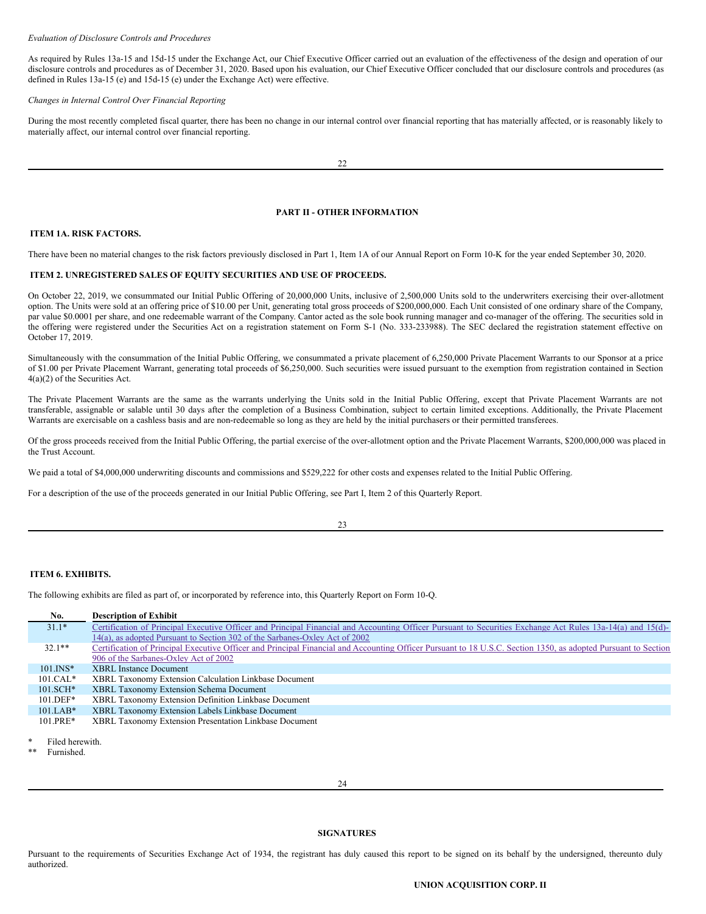### *Evaluation of Disclosure Controls and Procedures*

As required by Rules 13a-15 and 15d-15 under the Exchange Act, our Chief Executive Officer carried out an evaluation of the effectiveness of the design and operation of our disclosure controls and procedures as of December 31, 2020. Based upon his evaluation, our Chief Executive Officer concluded that our disclosure controls and procedures (as defined in Rules 13a-15 (e) and 15d-15 (e) under the Exchange Act) were effective.

### *Changes in Internal Control Over Financial Reporting*

During the most recently completed fiscal quarter, there has been no change in our internal control over financial reporting that has materially affected, or is reasonably likely to materially affect, our internal control over financial reporting.

### <span id="page-12-0"></span>**PART II - OTHER INFORMATION**

# <span id="page-12-1"></span>**ITEM 1A. RISK FACTORS.**

There have been no material changes to the risk factors previously disclosed in Part 1, Item 1A of our Annual Report on Form 10-K for the year ended September 30, 2020.

### <span id="page-12-2"></span>**ITEM 2. UNREGISTERED SALES OF EQUITY SECURITIES AND USE OF PROCEEDS.**

On October 22, 2019, we consummated our Initial Public Offering of 20,000,000 Units, inclusive of 2,500,000 Units sold to the underwriters exercising their over-allotment option. The Units were sold at an offering price of \$10.00 per Unit, generating total gross proceeds of \$200,000,000. Each Unit consisted of one ordinary share of the Company, par value \$0.0001 per share, and one redeemable warrant of the Company. Cantor acted as the sole book running manager and co-manager of the offering. The securities sold in the offering were registered under the Securities Act on a registration statement on Form S-1 (No. 333-233988). The SEC declared the registration statement effective on October 17, 2019.

Simultaneously with the consummation of the Initial Public Offering, we consummated a private placement of 6,250,000 Private Placement Warrants to our Sponsor at a price of \$1.00 per Private Placement Warrant, generating total proceeds of \$6,250,000. Such securities were issued pursuant to the exemption from registration contained in Section 4(a)(2) of the Securities Act.

The Private Placement Warrants are the same as the warrants underlying the Units sold in the Initial Public Offering, except that Private Placement Warrants are not transferable, assignable or salable until 30 days after the completion of a Business Combination, subject to certain limited exceptions. Additionally, the Private Placement Warrants are exercisable on a cashless basis and are non-redeemable so long as they are held by the initial purchasers or their permitted transferees.

Of the gross proceeds received from the Initial Public Offering, the partial exercise of the over-allotment option and the Private Placement Warrants, \$200,000,000 was placed in the Trust Account.

We paid a total of \$4,000,000 underwriting discounts and commissions and \$529,222 for other costs and expenses related to the Initial Public Offering.

For a description of the use of the proceeds generated in our Initial Public Offering, see Part I, Item 2 of this Quarterly Report.

23

### <span id="page-12-3"></span>**ITEM 6. EXHIBITS.**

The following exhibits are filed as part of, or incorporated by reference into, this Quarterly Report on Form 10-Q.

| No.          | <b>Description of Exhibit</b>                                                                                                                                  |
|--------------|----------------------------------------------------------------------------------------------------------------------------------------------------------------|
| $31.1*$      | Certification of Principal Executive Officer and Principal Financial and Accounting Officer Pursuant to Securities Exchange Act Rules 13a-14(a) and 15(d)-     |
|              | 14(a), as adopted Pursuant to Section 302 of the Sarbanes-Oxley Act of 2002                                                                                    |
| $32.1**$     | Certification of Principal Executive Officer and Principal Financial and Accounting Officer Pursuant to 18 U.S.C. Section 1350, as adopted Pursuant to Section |
|              | 906 of the Sarbanes-Oxley Act of 2002                                                                                                                          |
| $101$ . INS* | <b>XBRL</b> Instance Document                                                                                                                                  |
| $101.CAL*$   | XBRL Taxonomy Extension Calculation Linkbase Document                                                                                                          |
| $101.SCH*$   | XBRL Taxonomy Extension Schema Document                                                                                                                        |
| $101.DEF*$   | XBRL Taxonomy Extension Definition Linkbase Document                                                                                                           |
| $101.LAB*$   | XBRL Taxonomy Extension Labels Linkbase Document                                                                                                               |
| $101.PRE*$   | XBRL Taxonomy Extension Presentation Linkbase Document                                                                                                         |
|              |                                                                                                                                                                |

Filed herewith

Furnished.

### <span id="page-12-4"></span>**SIGNATURES**

Pursuant to the requirements of Securities Exchange Act of 1934, the registrant has duly caused this report to be signed on its behalf by the undersigned, thereunto duly authorized.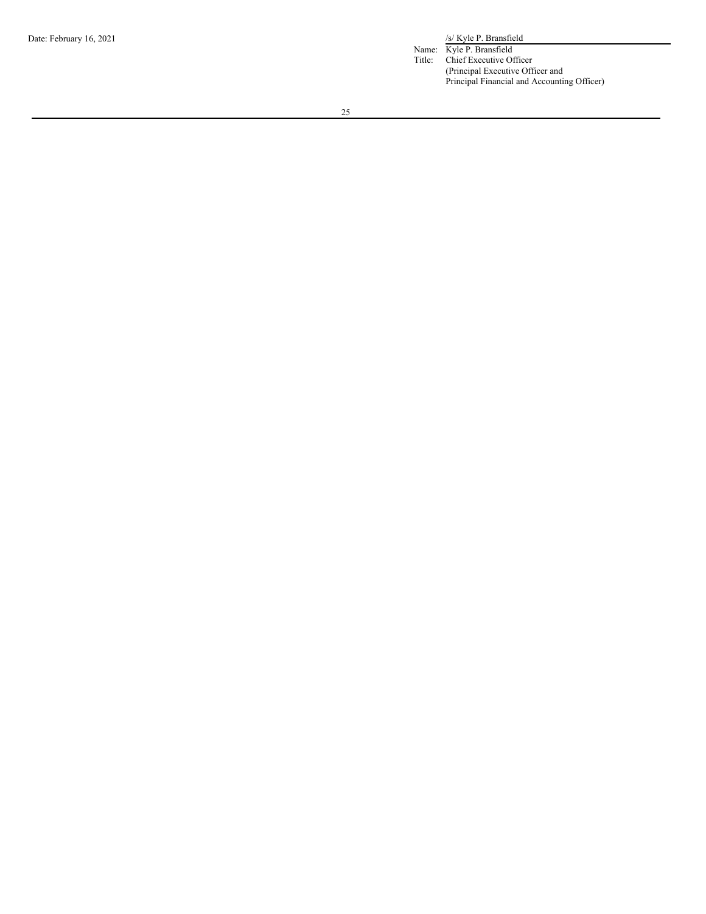/s/ Kyle P. Bransfield Name: Kyle P. Bransfield

Title: Chief Executive Officer (Principal Executive Officer and Principal Financial and Accounting Officer)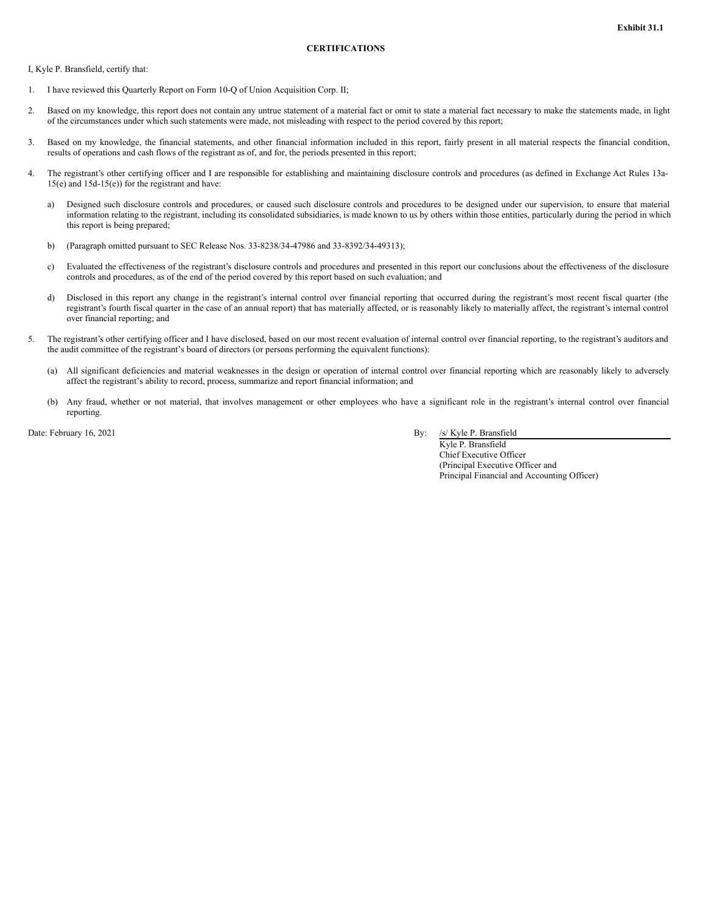<span id="page-14-0"></span>I, Kyle P. Bransfield, certify that:

- 1. I have reviewed this Quarterly Report on Form 10-Q of Union Acquisition Corp. II;
- 2. Based on my knowledge, this report does not contain any untrue statement of a material fact or omit to state a material fact necessary to make the statements made, in light of the circumstances under which such statements were made, not misleading with respect to the period covered by this report;
- 3. Based on my knowledge, the financial statements, and other financial information included in this report, fairly present in all material respects the financial condition, results of operations and cash flows of the registrant as of, and for, the periods presented in this report;
- 4. The registrant's other certifying officer and I are responsible for establishing and maintaining disclosure controls and procedures (as defined in Exchange Act Rules 13a-15(e) and 15d-15(e)) for the registrant and have:
	- a) Designed such disclosure controls and procedures, or caused such disclosure controls and procedures to be designed under our supervision, to ensure that material information relating to the registrant, including its consolidated subsidiaries, is made known to us by others within those entities, particularly during the period in which this report is being prepared;
	- b) (Paragraph omitted pursuant to SEC Release Nos. 33-8238/34-47986 and 33-8392/34-49313);
	- c) Evaluated the effectiveness of the registrant's disclosure controls and procedures and presented in this report our conclusions about the effectiveness of the disclosure controls and procedures, as of the end of the period covered by this report based on such evaluation; and
	- d) Disclosed in this report any change in the registrant's internal control over financial reporting that occurred during the registrant's most recent fiscal quarter (the registrant's fourth fiscal quarter in the case of an annual report) that has materially affected, or is reasonably likely to materially affect, the registrant's internal control over financial reporting; and
- 5. The registrant's other certifying officer and I have disclosed, based on our most recent evaluation of internal control over financial reporting, to the registrant's auditors and the audit committee of the registrant's board of directors (or persons performing the equivalent functions):
	- (a) All significant deficiencies and material weaknesses in the design or operation of internal control over financial reporting which are reasonably likely to adversely affect the registrant's ability to record, process, summarize and report financial information; and
	- (b) Any fraud, whether or not material, that involves management or other employees who have a significant role in the registrant's internal control over financial reporting.

Date: February 16, 2021 By: /s/ Kyle P. Bransfield

Kyle P. Bransfield Chief Executive Officer (Principal Executive Officer and Principal Financial and Accounting Officer)